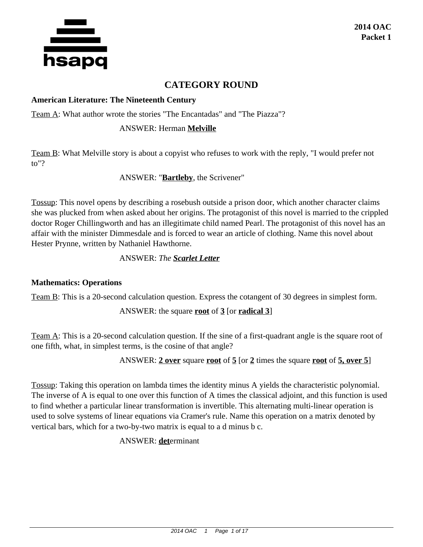

# **CATEGORY ROUND**

#### **American Literature: The Nineteenth Century**

Team A: What author wrote the stories "The Encantadas" and "The Piazza"?

#### ANSWER: Herman **Melville**

Team B: What Melville story is about a copyist who refuses to work with the reply, "I would prefer not to"?

ANSWER: "**Bartleby**, the Scrivener"

Tossup: This novel opens by describing a rosebush outside a prison door, which another character claims she was plucked from when asked about her origins. The protagonist of this novel is married to the crippled doctor Roger Chillingworth and has an illegitimate child named Pearl. The protagonist of this novel has an affair with the minister Dimmesdale and is forced to wear an article of clothing. Name this novel about Hester Prynne, written by Nathaniel Hawthorne.

# ANSWER: *The Scarlet Letter*

#### **Mathematics: Operations**

Team B: This is a 20-second calculation question. Express the cotangent of 30 degrees in simplest form.

ANSWER: the square **root** of **3** [or **radical 3**]

Team A: This is a 20-second calculation question. If the sine of a first-quadrant angle is the square root of one fifth, what, in simplest terms, is the cosine of that angle?

ANSWER: **2 over** square **root** of **5** [or **2** times the square **root** of **5, over 5**]

Tossup: Taking this operation on lambda times the identity minus A yields the characteristic polynomial. The inverse of A is equal to one over this function of A times the classical adjoint, and this function is used to find whether a particular linear transformation is invertible. This alternating multi-linear operation is used to solve systems of linear equations via Cramer's rule. Name this operation on a matrix denoted by vertical bars, which for a two-by-two matrix is equal to a d minus b c.

ANSWER: **det**erminant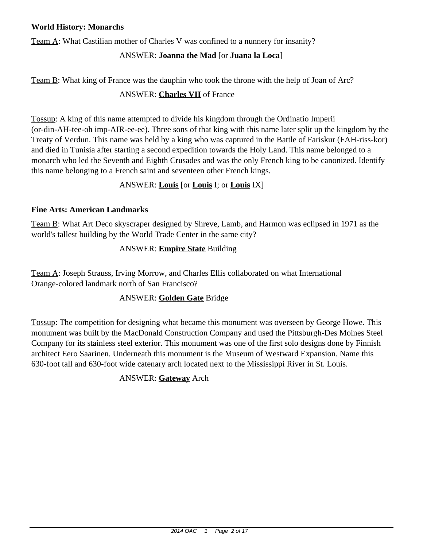#### **World History: Monarchs**

Team A: What Castilian mother of Charles V was confined to a nunnery for insanity?

# ANSWER: **Joanna the Mad** [or **Juana la Loca**]

Team B: What king of France was the dauphin who took the throne with the help of Joan of Arc?

# ANSWER: **Charles VII** of France

Tossup: A king of this name attempted to divide his kingdom through the Ordinatio Imperii (or-din-AH-tee-oh imp-AIR-ee-ee). Three sons of that king with this name later split up the kingdom by the Treaty of Verdun. This name was held by a king who was captured in the Battle of Fariskur (FAH-riss-kor) and died in Tunisia after starting a second expedition towards the Holy Land. This name belonged to a monarch who led the Seventh and Eighth Crusades and was the only French king to be canonized. Identify this name belonging to a French saint and seventeen other French kings.

## ANSWER: **Louis** [or **Louis** I; or **Louis** IX]

#### **Fine Arts: American Landmarks**

Team B: What Art Deco skyscraper designed by Shreve, Lamb, and Harmon was eclipsed in 1971 as the world's tallest building by the World Trade Center in the same city?

## ANSWER: **Empire State** Building

Team A: Joseph Strauss, Irving Morrow, and Charles Ellis collaborated on what International Orange-colored landmark north of San Francisco?

## ANSWER: **Golden Gate** Bridge

Tossup: The competition for designing what became this monument was overseen by George Howe. This monument was built by the MacDonald Construction Company and used the Pittsburgh-Des Moines Steel Company for its stainless steel exterior. This monument was one of the first solo designs done by Finnish architect Eero Saarinen. Underneath this monument is the Museum of Westward Expansion. Name this 630-foot tall and 630-foot wide catenary arch located next to the Mississippi River in St. Louis.

## ANSWER: **Gateway** Arch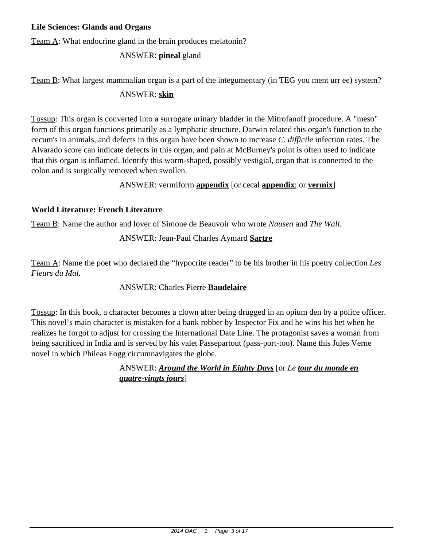#### **Life Sciences: Glands and Organs**

Team A: What endocrine gland in the brain produces melatonin?

# ANSWER: **pineal** gland

Team B: What largest mammalian organ is a part of the integumentary (in TEG you ment urr ee) system?

#### ANSWER: **skin**

Tossup: This organ is converted into a surrogate urinary bladder in the Mitrofanoff procedure. A "meso" form of this organ functions primarily as a lymphatic structure. Darwin related this organ's function to the cecum's in animals, and defects in this organ have been shown to increase *C. difficile* infection rates. The Alvarado score can indicate defects in this organ, and pain at McBurney's point is often used to indicate that this organ is inflamed. Identify this worm-shaped, possibly vestigial, organ that is connected to the colon and is surgically removed when swollen.

#### ANSWER: vermiform **appendix** [or cecal **appendix**; or **vermix**]

#### **World Literature: French Literature**

Team B: Name the author and lover of Simone de Beauvoir who wrote *Nausea* and *The Wall.*

## ANSWER: Jean-Paul Charles Aymard **Sartre**

Team A: Name the poet who declared the "hypocrite reader" to be his brother in his poetry collection *Les Fleurs du Mal.*

## ANSWER: Charles Pierre **Baudelaire**

Tossup: In this book, a character becomes a clown after being drugged in an opium den by a police officer. This novel's main character is mistaken for a bank robber by Inspector Fix and he wins his bet when he realizes he forgot to adjust for crossing the International Date Line. The protagonist saves a woman from being sacrificed in India and is served by his valet Passepartout (pass-port-too). Name this Jules Verne novel in which Phileas Fogg circumnavigates the globe.

> ANSWER: *Around the World in Eighty Days* [or *Le tour du monde en quatre-vingts jours*]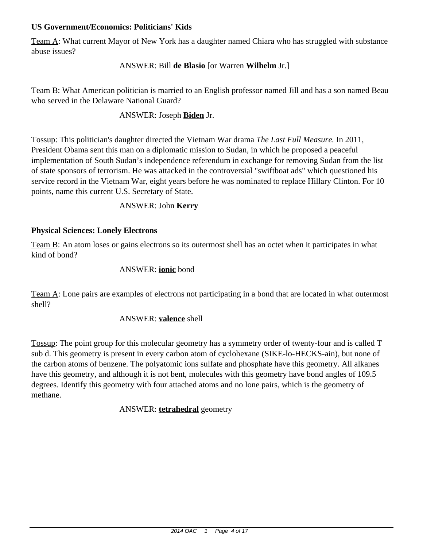#### **US Government/Economics: Politicians' Kids**

Team A: What current Mayor of New York has a daughter named Chiara who has struggled with substance abuse issues?

#### ANSWER: Bill **de Blasio** [or Warren **Wilhelm** Jr.]

Team B: What American politician is married to an English professor named Jill and has a son named Beau who served in the Delaware National Guard?

#### ANSWER: Joseph **Biden** Jr.

Tossup: This politician's daughter directed the Vietnam War drama *The Last Full Measure.* In 2011, President Obama sent this man on a diplomatic mission to Sudan, in which he proposed a peaceful implementation of South Sudan's independence referendum in exchange for removing Sudan from the list of state sponsors of terrorism. He was attacked in the controversial "swiftboat ads" which questioned his service record in the Vietnam War, eight years before he was nominated to replace Hillary Clinton. For 10 points, name this current U.S. Secretary of State.

#### ANSWER: John **Kerry**

#### **Physical Sciences: Lonely Electrons**

Team B: An atom loses or gains electrons so its outermost shell has an octet when it participates in what kind of bond?

#### ANSWER: **ionic** bond

Team A: Lone pairs are examples of electrons not participating in a bond that are located in what outermost shell?

#### ANSWER: **valence** shell

Tossup: The point group for this molecular geometry has a symmetry order of twenty-four and is called T sub d. This geometry is present in every carbon atom of cyclohexane (SIKE-lo-HECKS-ain), but none of the carbon atoms of benzene. The polyatomic ions sulfate and phosphate have this geometry. All alkanes have this geometry, and although it is not bent, molecules with this geometry have bond angles of 109.5 degrees. Identify this geometry with four attached atoms and no lone pairs, which is the geometry of methane.

## ANSWER: **tetrahedral** geometry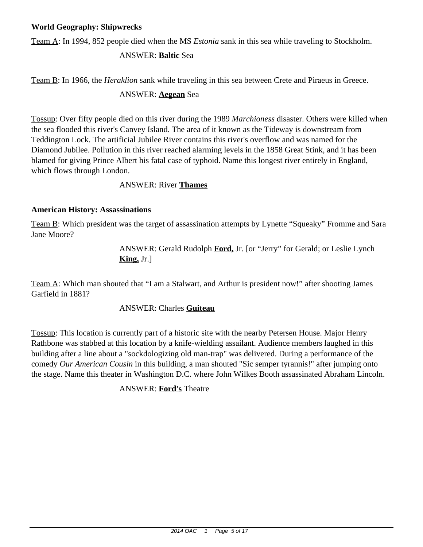#### **World Geography: Shipwrecks**

Team A: In 1994, 852 people died when the MS *Estonia* sank in this sea while traveling to Stockholm.

#### ANSWER: **Baltic** Sea

Team B: In 1966, the *Heraklion* sank while traveling in this sea between Crete and Piraeus in Greece.

#### ANSWER: **Aegean** Sea

Tossup: Over fifty people died on this river during the 1989 *Marchioness* disaster. Others were killed when the sea flooded this river's Canvey Island. The area of it known as the Tideway is downstream from Teddington Lock. The artificial Jubilee River contains this river's overflow and was named for the Diamond Jubilee. Pollution in this river reached alarming levels in the 1858 Great Stink, and it has been blamed for giving Prince Albert his fatal case of typhoid. Name this longest river entirely in England, which flows through London.

#### ANSWER: River **Thames**

#### **American History: Assassinations**

Team B: Which president was the target of assassination attempts by Lynette "Squeaky" Fromme and Sara Jane Moore?

> ANSWER: Gerald Rudolph **Ford,** Jr. [or "Jerry" for Gerald; or Leslie Lynch **King,** Jr.]

Team A: Which man shouted that "I am a Stalwart, and Arthur is president now!" after shooting James Garfield in 1881?

#### ANSWER: Charles **Guiteau**

Tossup: This location is currently part of a historic site with the nearby Petersen House. Major Henry Rathbone was stabbed at this location by a knife-wielding assailant. Audience members laughed in this building after a line about a "sockdologizing old man-trap" was delivered. During a performance of the comedy *Our American Cousin* in this building, a man shouted "Sic semper tyrannis!" after jumping onto the stage. Name this theater in Washington D.C. where John Wilkes Booth assassinated Abraham Lincoln.

#### ANSWER: **Ford's** Theatre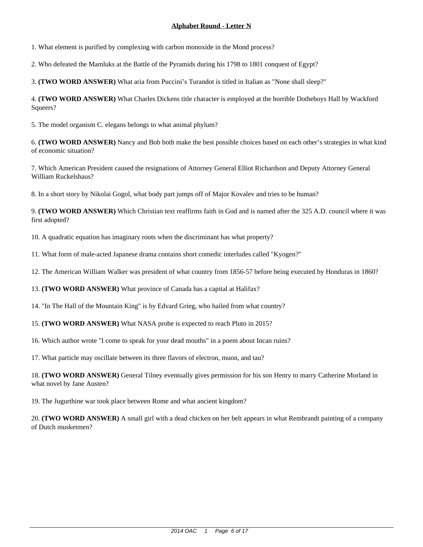1. What element is purified by complexing with carbon monoxide in the Mond process?

2. Who defeated the Mamluks at the Battle of the Pyramids during his 1798 to 1801 conquest of Egypt?

3. **(TWO WORD ANSWER)** What aria from Puccini's Turandot is titled in Italian as "None shall sleep?"

4. **(TWO WORD ANSWER)** What Charles Dickens title character is employed at the horrible Dotheboys Hall by Wackford Squeers?

5. The model organism C. elegans belongs to what animal phylum?

6. **(TWO WORD ANSWER)** Nancy and Bob both make the best possible choices based on each other's strategies in what kind of economic situation?

7. Which American President caused the resignations of Attorney General Elliot Richardson and Deputy Attorney General William Ruckelshaus?

8. In a short story by Nikolai Gogol, what body part jumps off of Major Kovalev and tries to be human?

9. **(TWO WORD ANSWER)** Which Christian text reaffirms faith in God and is named after the 325 A.D. council where it was first adopted?

10. A quadratic equation has imaginary roots when the discriminant has what property?

11. What form of male-acted Japanese drama contains short comedic interludes called "Kyogen?"

12. The American William Walker was president of what country from 1856-57 before being executed by Honduras in 1860?

13. **(TWO WORD ANSWER)** What province of Canada has a capital at Halifax?

14. "In The Hall of the Mountain King" is by Edvard Grieg, who hailed from what country?

15. **(TWO WORD ANSWER)** What NASA probe is expected to reach Pluto in 2015?

16. Which author wrote "I come to speak for your dead mouths" in a poem about Incan ruins?

17. What particle may oscillate between its three flavors of electron, muon, and tau?

18. **(TWO WORD ANSWER)** General Tilney eventually gives permission for his son Henry to marry Catherine Morland in what novel by Jane Austen?

19. The Jugurthine war took place between Rome and what ancient kingdom?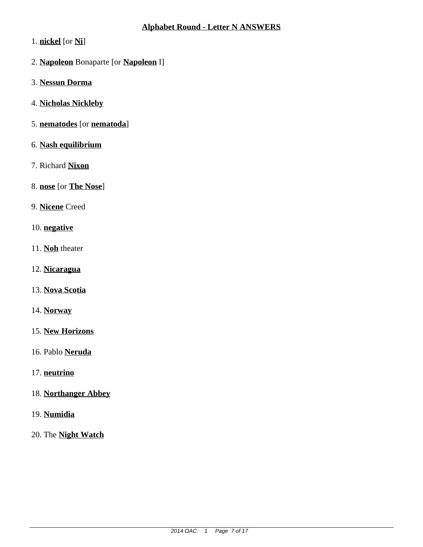- 1. **nickel** [or **Ni**]
- 2. **Napoleon** Bonaparte [or **Napoleon** I]
- 3. **Nessun Dorma**
- 4. **Nicholas Nickleby**
- 5. **nematodes** [or **nematoda**]
- 6. **Nash equilibrium**
- 7. Richard **Nixon**
- 8. **nose** [or **The Nose**]
- 9. **Nicene** Creed
- 10. **negative**
- 11. **Noh** theater
- 12. **Nicaragua**
- 13. **Nova Scotia**
- 14. **Norway**
- 15. **New Horizons**
- 16. Pablo **Neruda**
- 17. **neutrino**
- 18. **Northanger Abbey**
- 19. **Numidia**
- 20. The **Night Watch**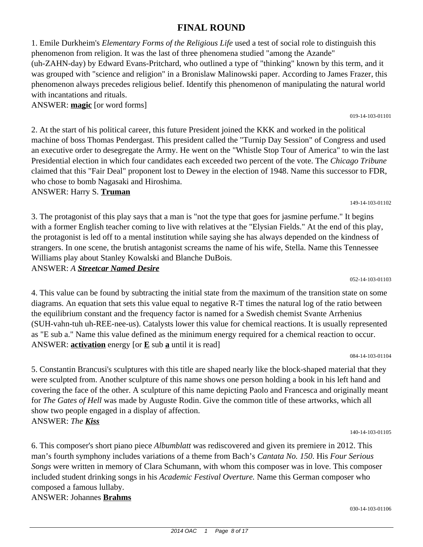# phenomenon always precedes religious belief. Identify this phenomenon of manipulating the natural world

ANSWER: **magic** [or word forms]

with incantations and rituals.

2. At the start of his political career, this future President joined the KKK and worked in the political machine of boss Thomas Pendergast. This president called the "Turnip Day Session" of Congress and used an executive order to desegregate the Army. He went on the "Whistle Stop Tour of America" to win the last Presidential election in which four candidates each exceeded two percent of the vote. The *Chicago Tribune* claimed that this "Fair Deal" proponent lost to Dewey in the election of 1948. Name this successor to FDR, who chose to bomb Nagasaki and Hiroshima.

ANSWER: Harry S. **Truman**

3. The protagonist of this play says that a man is "not the type that goes for jasmine perfume." It begins with a former English teacher coming to live with relatives at the "Elysian Fields." At the end of this play, the protagonist is led off to a mental institution while saying she has always depended on the kindness of strangers. In one scene, the brutish antagonist screams the name of his wife, Stella. Name this Tennessee Williams play about Stanley Kowalski and Blanche DuBois.

ANSWER: *A Streetcar Named Desire*

052-14-103-01103

149-14-103-01102

4. This value can be found by subtracting the initial state from the maximum of the transition state on some diagrams. An equation that sets this value equal to negative R-T times the natural log of the ratio between the equilibrium constant and the frequency factor is named for a Swedish chemist Svante Arrhenius (SUH-vahn-tuh uh-REE-nee-us). Catalysts lower this value for chemical reactions. It is usually represented as "E sub a." Name this value defined as the minimum energy required for a chemical reaction to occur. ANSWER: **activation** energy [or  $\underline{E}$  sub **a** until it is read]

084-14-103-01104

5. Constantin Brancusi's sculptures with this title are shaped nearly like the block-shaped material that they were sculpted from. Another sculpture of this name shows one person holding a book in his left hand and covering the face of the other. A sculpture of this name depicting Paolo and Francesca and originally meant for *The Gates of Hell* was made by Auguste Rodin. Give the common title of these artworks, which all show two people engaged in a display of affection. ANSWER: *The Kiss*

140-14-103-01105

6. This composer's short piano piece *Albumblatt* was rediscovered and given its premiere in 2012. This man's fourth symphony includes variations of a theme from Bach's *Cantata No. 150*. His *Four Serious Songs* were written in memory of Clara Schumann, with whom this composer was in love. This composer included student drinking songs in his *Academic Festival Overture.* Name this German composer who composed a famous lullaby.

ANSWER: Johannes **Brahms**

019-14-103-01101

1. Emile Durkheim's *Elementary Forms of the Religious Life* used a test of social role to distinguish this

(uh-ZAHN-day) by Edward Evans-Pritchard, who outlined a type of "thinking" known by this term, and it was grouped with "science and religion" in a Bronislaw Malinowski paper. According to James Frazer, this

phenomenon from religion. It was the last of three phenomena studied "among the Azande"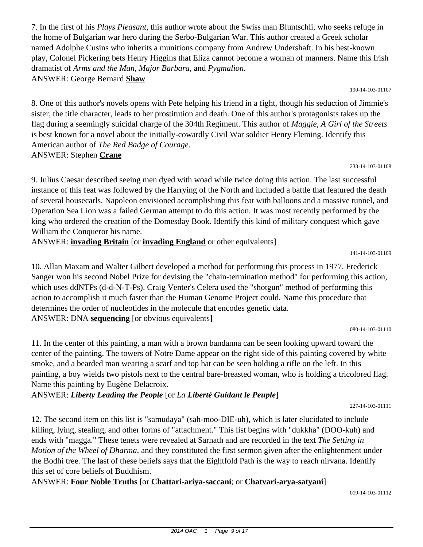7. In the first of his *Plays Pleasant*, this author wrote about the Swiss man Bluntschli, who seeks refuge in the home of Bulgarian war hero during the Serbo-Bulgarian War. This author created a Greek scholar named Adolphe Cusins who inherits a munitions company from Andrew Undershaft. In his best-known play, Colonel Pickering bets Henry Higgins that Eliza cannot become a woman of manners. Name this Irish dramatist of *Arms and the Man*, *Major Barbara*, and *Pygmalion*. ANSWER: George Bernard **Shaw**

190-14-103-01107

8. One of this author's novels opens with Pete helping his friend in a fight, though his seduction of Jimmie's sister, the title character, leads to her prostitution and death. One of this author's protagonists takes up the flag during a seemingly suicidal charge of the 304th Regiment. This author of *Maggie, A Girl of the Streets* is best known for a novel about the initially-cowardly Civil War soldier Henry Fleming. Identify this American author of *The Red Badge of Courage.* ANSWER: Stephen **Crane**

233-14-103-01108

9. Julius Caesar described seeing men dyed with woad while twice doing this action. The last successful instance of this feat was followed by the Harrying of the North and included a battle that featured the death of several housecarls. Napoleon envisioned accomplishing this feat with balloons and a massive tunnel, and Operation Sea Lion was a failed German attempt to do this action. It was most recently performed by the king who ordered the creation of the Domesday Book. Identify this kind of military conquest which gave William the Conqueror his name.

ANSWER: **invading Britain** [or **invading England** or other equivalents]

141-14-103-01109

10. Allan Maxam and Walter Gilbert developed a method for performing this process in 1977. Frederick Sanger won his second Nobel Prize for devising the "chain-termination method" for performing this action, which uses ddNTPs (d-d-N-T-Ps). Craig Venter's Celera used the "shotgun" method of performing this action to accomplish it much faster than the Human Genome Project could. Name this procedure that determines the order of nucleotides in the molecule that encodes genetic data. ANSWER: DNA **sequencing** [or obvious equivalents]

080-14-103-01110

11. In the center of this painting, a man with a brown bandanna can be seen looking upward toward the center of the painting. The towers of Notre Dame appear on the right side of this painting covered by white smoke, and a bearded man wearing a scarf and top hat can be seen holding a rifle on the left. In this painting, a boy wields two pistols next to the central bare-breasted woman, who is holding a tricolored flag. Name this painting by Eugène Delacroix.

ANSWER: *Liberty Leading the People* [or *La Liberté Guidant le Peuple*]

227-14-103-01111

12. The second item on this list is "samudaya" (sah-moo-DIE-uh), which is later elucidated to include killing, lying, stealing, and other forms of "attachment." This list begins with "dukkha" (DOO-kuh) and ends with "magga." These tenets were revealed at Sarnath and are recorded in the text *The Setting in Motion of the Wheel of Dharma,* and they constituted the first sermon given after the enlightenment under the Bodhi tree. The last of these beliefs says that the Eightfold Path is the way to reach nirvana. Identify this set of core beliefs of Buddhism.

ANSWER: **Four Noble Truths** [or **Chattari-ariya-saccani**; or **Chatvari-arya-satyani**]

019-14-103-01112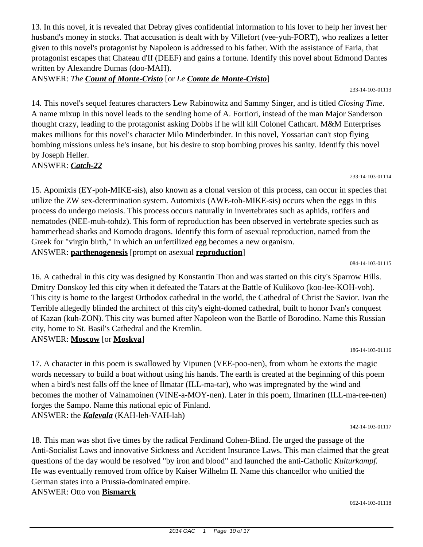13. In this novel, it is revealed that Debray gives confidential information to his lover to help her invest her husband's money in stocks. That accusation is dealt with by Villefort (vee-yuh-FORT), who realizes a letter given to this novel's protagonist by Napoleon is addressed to his father. With the assistance of Faria, that protagonist escapes that Chateau d'If (DEEF) and gains a fortune. Identify this novel about Edmond Dantes written by Alexandre Dumas (doo-MAH).

ANSWER: *The Count of Monte-Cristo* [or *Le Comte de Monte-Cristo*]

233-14-103-01113

14. This novel's sequel features characters Lew Rabinowitz and Sammy Singer, and is titled *Closing Time*. A name mixup in this novel leads to the sending home of A. Fortiori, instead of the man Major Sanderson thought crazy, leading to the protagonist asking Dobbs if he will kill Colonel Cathcart. M&M Enterprises makes millions for this novel's character Milo Minderbinder. In this novel, Yossarian can't stop flying bombing missions unless he's insane, but his desire to stop bombing proves his sanity. Identify this novel by Joseph Heller.

ANSWER: *Catch-22*

15. Apomixis (EY-poh-MIKE-sis), also known as a clonal version of this process, can occur in species that utilize the ZW sex-determination system. Automixis (AWE-toh-MIKE-sis) occurs when the eggs in this process do undergo meiosis. This process occurs naturally in invertebrates such as aphids, rotifers and nematodes (NEE-muh-tohdz). This form of reproduction has been observed in vertebrate species such as hammerhead sharks and Komodo dragons. Identify this form of asexual reproduction, named from the Greek for "virgin birth," in which an unfertilized egg becomes a new organism. ANSWER: **parthenogenesis** [prompt on asexual **reproduction**]

084-14-103-01115

233-14-103-01114

16. A cathedral in this city was designed by Konstantin Thon and was started on this city's Sparrow Hills. Dmitry Donskoy led this city when it defeated the Tatars at the Battle of Kulikovo (koo-lee-KOH-voh). This city is home to the largest Orthodox cathedral in the world, the Cathedral of Christ the Savior. Ivan the Terrible allegedly blinded the architect of this city's eight-domed cathedral, built to honor Ivan's conquest of Kazan (kuh-ZON). This city was burned after Napoleon won the Battle of Borodino. Name this Russian city, home to St. Basil's Cathedral and the Kremlin. ANSWER: **Moscow** [or **Moskva**]

186-14-103-01116

17. A character in this poem is swallowed by Vipunen (VEE-poo-nen), from whom he extorts the magic words necessary to build a boat without using his hands. The earth is created at the beginning of this poem when a bird's nest falls off the knee of Ilmatar (ILL-ma-tar), who was impregnated by the wind and becomes the mother of Vainamoinen (VINE-a-MOY-nen). Later in this poem, Ilmarinen (ILL-ma-ree-nen) forges the Sampo. Name this national epic of Finland. ANSWER: the *Kalevala* (KAH-leh-VAH-lah)

142-14-103-01117

18. This man was shot five times by the radical Ferdinand Cohen-Blind. He urged the passage of the Anti-Socialist Laws and innovative Sickness and Accident Insurance Laws. This man claimed that the great questions of the day would be resolved "by iron and blood" and launched the anti-Catholic *Kulturkampf.* He was eventually removed from office by Kaiser Wilhelm II. Name this chancellor who unified the German states into a Prussia-dominated empire. ANSWER: Otto von **Bismarck**

052-14-103-01118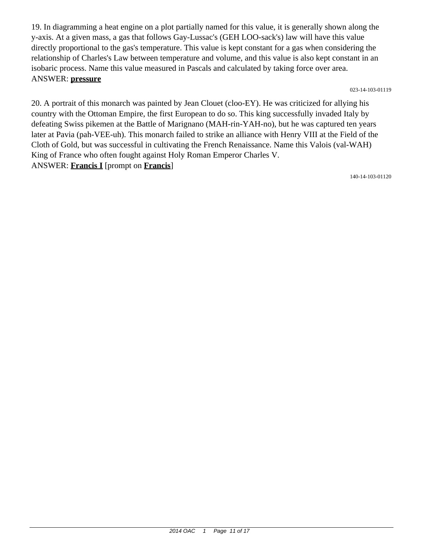19. In diagramming a heat engine on a plot partially named for this value, it is generally shown along the y-axis. At a given mass, a gas that follows Gay-Lussac's (GEH LOO-sack's) law will have this value directly proportional to the gas's temperature. This value is kept constant for a gas when considering the relationship of Charles's Law between temperature and volume, and this value is also kept constant in an isobaric process. Name this value measured in Pascals and calculated by taking force over area. ANSWER: **pressure**

023-14-103-01119

20. A portrait of this monarch was painted by Jean Clouet (cloo-EY). He was criticized for allying his country with the Ottoman Empire, the first European to do so. This king successfully invaded Italy by defeating Swiss pikemen at the Battle of Marignano (MAH-rin-YAH-no), but he was captured ten years later at Pavia (pah-VEE-uh). This monarch failed to strike an alliance with Henry VIII at the Field of the Cloth of Gold, but was successful in cultivating the French Renaissance. Name this Valois (val-WAH) King of France who often fought against Holy Roman Emperor Charles V. ANSWER: **Francis I** [prompt on **Francis**]

140-14-103-01120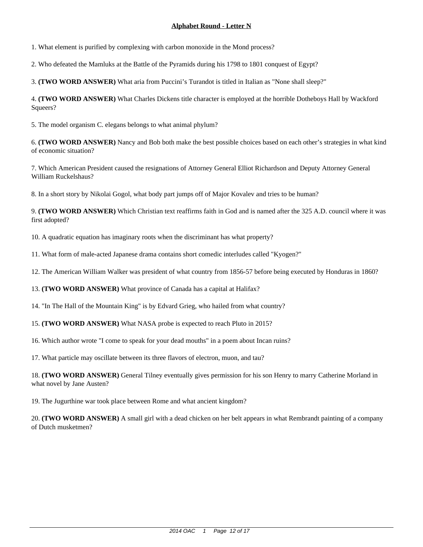1. What element is purified by complexing with carbon monoxide in the Mond process?

2. Who defeated the Mamluks at the Battle of the Pyramids during his 1798 to 1801 conquest of Egypt?

3. **(TWO WORD ANSWER)** What aria from Puccini's Turandot is titled in Italian as "None shall sleep?"

4. **(TWO WORD ANSWER)** What Charles Dickens title character is employed at the horrible Dotheboys Hall by Wackford Squeers?

5. The model organism C. elegans belongs to what animal phylum?

6. **(TWO WORD ANSWER)** Nancy and Bob both make the best possible choices based on each other's strategies in what kind of economic situation?

7. Which American President caused the resignations of Attorney General Elliot Richardson and Deputy Attorney General William Ruckelshaus?

8. In a short story by Nikolai Gogol, what body part jumps off of Major Kovalev and tries to be human?

9. **(TWO WORD ANSWER)** Which Christian text reaffirms faith in God and is named after the 325 A.D. council where it was first adopted?

10. A quadratic equation has imaginary roots when the discriminant has what property?

11. What form of male-acted Japanese drama contains short comedic interludes called "Kyogen?"

12. The American William Walker was president of what country from 1856-57 before being executed by Honduras in 1860?

13. **(TWO WORD ANSWER)** What province of Canada has a capital at Halifax?

14. "In The Hall of the Mountain King" is by Edvard Grieg, who hailed from what country?

15. **(TWO WORD ANSWER)** What NASA probe is expected to reach Pluto in 2015?

16. Which author wrote "I come to speak for your dead mouths" in a poem about Incan ruins?

17. What particle may oscillate between its three flavors of electron, muon, and tau?

18. **(TWO WORD ANSWER)** General Tilney eventually gives permission for his son Henry to marry Catherine Morland in what novel by Jane Austen?

19. The Jugurthine war took place between Rome and what ancient kingdom?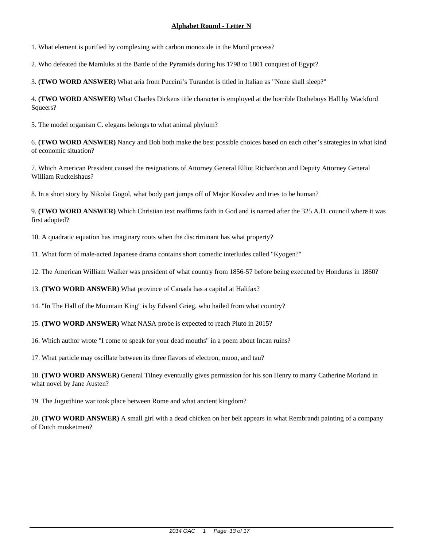1. What element is purified by complexing with carbon monoxide in the Mond process?

2. Who defeated the Mamluks at the Battle of the Pyramids during his 1798 to 1801 conquest of Egypt?

3. **(TWO WORD ANSWER)** What aria from Puccini's Turandot is titled in Italian as "None shall sleep?"

4. **(TWO WORD ANSWER)** What Charles Dickens title character is employed at the horrible Dotheboys Hall by Wackford Squeers?

5. The model organism C. elegans belongs to what animal phylum?

6. **(TWO WORD ANSWER)** Nancy and Bob both make the best possible choices based on each other's strategies in what kind of economic situation?

7. Which American President caused the resignations of Attorney General Elliot Richardson and Deputy Attorney General William Ruckelshaus?

8. In a short story by Nikolai Gogol, what body part jumps off of Major Kovalev and tries to be human?

9. **(TWO WORD ANSWER)** Which Christian text reaffirms faith in God and is named after the 325 A.D. council where it was first adopted?

10. A quadratic equation has imaginary roots when the discriminant has what property?

11. What form of male-acted Japanese drama contains short comedic interludes called "Kyogen?"

12. The American William Walker was president of what country from 1856-57 before being executed by Honduras in 1860?

13. **(TWO WORD ANSWER)** What province of Canada has a capital at Halifax?

14. "In The Hall of the Mountain King" is by Edvard Grieg, who hailed from what country?

15. **(TWO WORD ANSWER)** What NASA probe is expected to reach Pluto in 2015?

16. Which author wrote "I come to speak for your dead mouths" in a poem about Incan ruins?

17. What particle may oscillate between its three flavors of electron, muon, and tau?

18. **(TWO WORD ANSWER)** General Tilney eventually gives permission for his son Henry to marry Catherine Morland in what novel by Jane Austen?

19. The Jugurthine war took place between Rome and what ancient kingdom?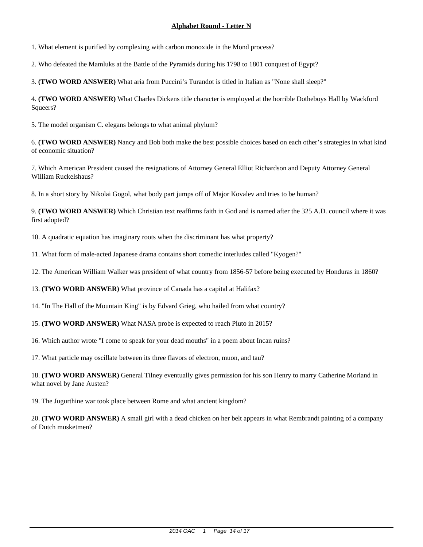1. What element is purified by complexing with carbon monoxide in the Mond process?

2. Who defeated the Mamluks at the Battle of the Pyramids during his 1798 to 1801 conquest of Egypt?

3. **(TWO WORD ANSWER)** What aria from Puccini's Turandot is titled in Italian as "None shall sleep?"

4. **(TWO WORD ANSWER)** What Charles Dickens title character is employed at the horrible Dotheboys Hall by Wackford Squeers?

5. The model organism C. elegans belongs to what animal phylum?

6. **(TWO WORD ANSWER)** Nancy and Bob both make the best possible choices based on each other's strategies in what kind of economic situation?

7. Which American President caused the resignations of Attorney General Elliot Richardson and Deputy Attorney General William Ruckelshaus?

8. In a short story by Nikolai Gogol, what body part jumps off of Major Kovalev and tries to be human?

9. **(TWO WORD ANSWER)** Which Christian text reaffirms faith in God and is named after the 325 A.D. council where it was first adopted?

10. A quadratic equation has imaginary roots when the discriminant has what property?

11. What form of male-acted Japanese drama contains short comedic interludes called "Kyogen?"

12. The American William Walker was president of what country from 1856-57 before being executed by Honduras in 1860?

13. **(TWO WORD ANSWER)** What province of Canada has a capital at Halifax?

14. "In The Hall of the Mountain King" is by Edvard Grieg, who hailed from what country?

15. **(TWO WORD ANSWER)** What NASA probe is expected to reach Pluto in 2015?

16. Which author wrote "I come to speak for your dead mouths" in a poem about Incan ruins?

17. What particle may oscillate between its three flavors of electron, muon, and tau?

18. **(TWO WORD ANSWER)** General Tilney eventually gives permission for his son Henry to marry Catherine Morland in what novel by Jane Austen?

19. The Jugurthine war took place between Rome and what ancient kingdom?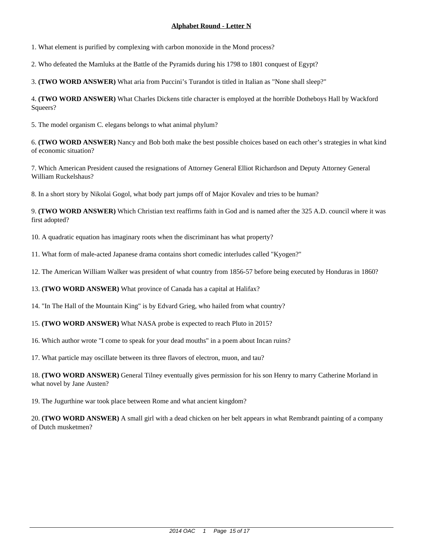1. What element is purified by complexing with carbon monoxide in the Mond process?

2. Who defeated the Mamluks at the Battle of the Pyramids during his 1798 to 1801 conquest of Egypt?

3. **(TWO WORD ANSWER)** What aria from Puccini's Turandot is titled in Italian as "None shall sleep?"

4. **(TWO WORD ANSWER)** What Charles Dickens title character is employed at the horrible Dotheboys Hall by Wackford Squeers?

5. The model organism C. elegans belongs to what animal phylum?

6. **(TWO WORD ANSWER)** Nancy and Bob both make the best possible choices based on each other's strategies in what kind of economic situation?

7. Which American President caused the resignations of Attorney General Elliot Richardson and Deputy Attorney General William Ruckelshaus?

8. In a short story by Nikolai Gogol, what body part jumps off of Major Kovalev and tries to be human?

9. **(TWO WORD ANSWER)** Which Christian text reaffirms faith in God and is named after the 325 A.D. council where it was first adopted?

10. A quadratic equation has imaginary roots when the discriminant has what property?

11. What form of male-acted Japanese drama contains short comedic interludes called "Kyogen?"

12. The American William Walker was president of what country from 1856-57 before being executed by Honduras in 1860?

13. **(TWO WORD ANSWER)** What province of Canada has a capital at Halifax?

14. "In The Hall of the Mountain King" is by Edvard Grieg, who hailed from what country?

15. **(TWO WORD ANSWER)** What NASA probe is expected to reach Pluto in 2015?

16. Which author wrote "I come to speak for your dead mouths" in a poem about Incan ruins?

17. What particle may oscillate between its three flavors of electron, muon, and tau?

18. **(TWO WORD ANSWER)** General Tilney eventually gives permission for his son Henry to marry Catherine Morland in what novel by Jane Austen?

19. The Jugurthine war took place between Rome and what ancient kingdom?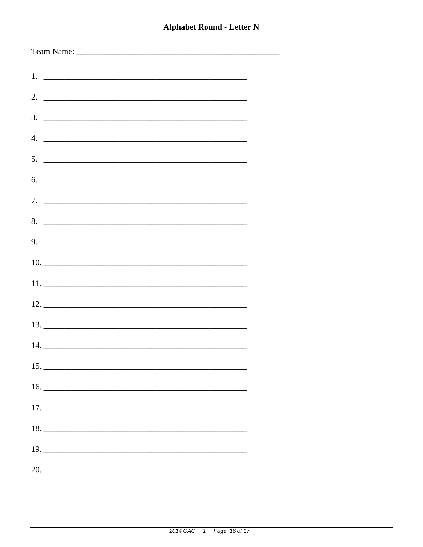| $5.$ $\overline{\phantom{a}}$ |
|-------------------------------|
| 6.                            |
|                               |
| 8.                            |
|                               |
|                               |
|                               |
|                               |
|                               |
|                               |
|                               |
|                               |
|                               |
|                               |
|                               |
|                               |
|                               |
| 20.                           |
|                               |